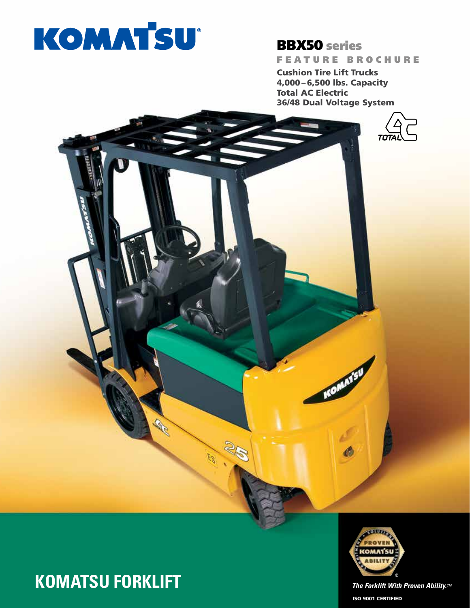# KOMATSU

# BBX50 series

FEATURE BROCHURE

Cushion Tire Lift Trucks 4,000 – 6,500 lbs. Capacity Total AC Electric 36/48 Dual Voltage System

KOMATSI







ISO 9001 CERTIFIED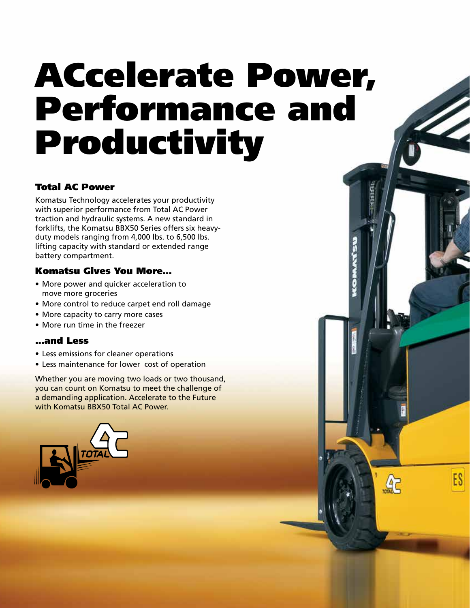# ACcelerate Power, Performance and Productivity

ES

 $45$ 

### Total AC Power

Komatsu Technology accelerates your productivity with superior performance from Total AC Power traction and hydraulic systems. A new standard in forklifts, the Komatsu BBX50 Series offers six heavyduty models ranging from 4,000 lbs. to 6,500 lbs. lifting capacity with standard or extended range battery compartment.

### Komatsu Gives You More…

- More power and quicker acceleration to move more groceries
- More control to reduce carpet end roll damage
- More capacity to carry more cases
- More run time in the freezer

### …and Less

- Less emissions for cleaner operations
- Less maintenance for lower cost of operation

Whether you are moving two loads or two thousand, you can count on Komatsu to meet the challenge of a demanding application. Accelerate to the Future with Komatsu BBX50 Total AC Power.

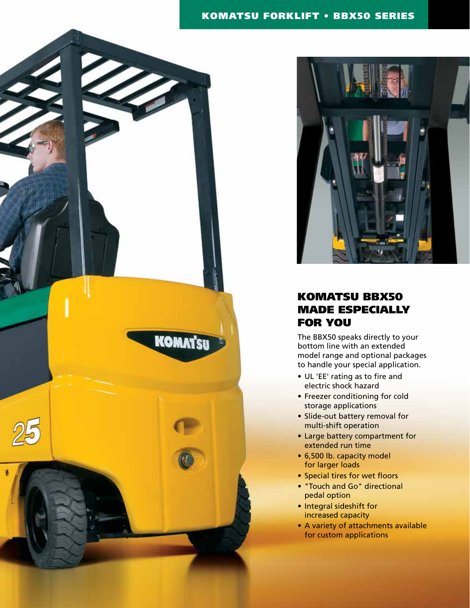### KOMATSU FORKLIFT • BBX50 SERIES





### KOMATSU BBX50 MADE ESPECIALLY FOR YOU

The BBX50 speaks directly to your bottom line with an extended model range and optional packages to handle your special application.

- UL 'EE' rating as to fire and electric shock hazard
- Freezer conditioning for cold storage applications
- Slide-out battery removal for multi-shift operation
- Large battery compartment for extended run time
- 6,500 lb. capacity model for larger loads
- Special tires for wet floors
- "Touch and Go" directional pedal option
- Integral sideshift for increased capacity
- A variety of attachments available for custom applications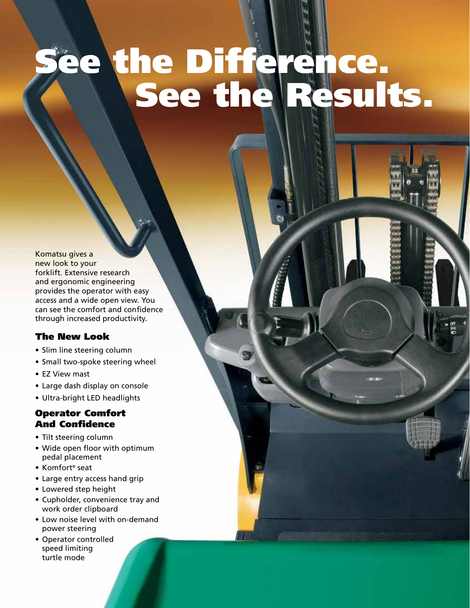# e the Difference. Results.

Komatsu gives a new look to your forklift. Extensive research and ergonomic engineering provides the operator with easy access and a wide open view. You can see the comfort and confidence through increased productivity.

### The New Look

- Slim line steering column
- Small two-spoke steering wheel
- EZ View mast
- Large dash display on console
- Ultra-bright LED headlights

### Operator Comfort And Confidence

- Tilt steering column
- Wide open floor with optimum pedal placement
- Komfort® seat
- Large entry access hand grip
- Lowered step height
- Cupholder, convenience tray and work order clipboard
- Low noise level with on-demand power steering
- Operator controlled speed limiting turtle mode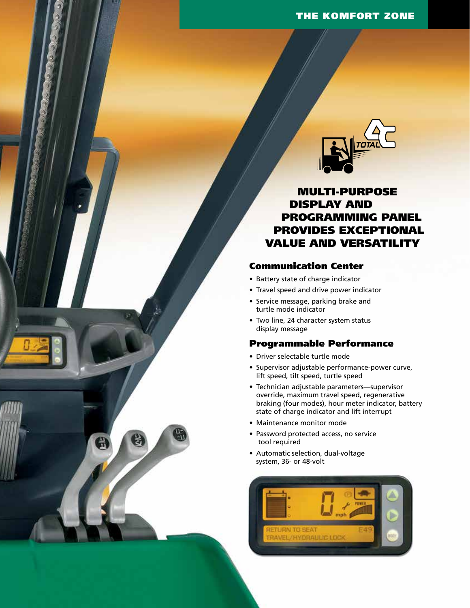

MULTI-PURPOSE DISPLAY AND PROGRAMMING PANEL PROVIDES EXCEPTIONAL VALUE AND VERSATILITY

### Communication Center

- Battery state of charge indicator
- Travel speed and drive power indicator
- Service message, parking brake and turtle mode indicator
- Two line, 24 character system status display message

#### Programmable Performance

- Driver selectable turtle mode
- Supervisor adjustable performance-power curve, lift speed, tilt speed, turtle speed
- Technician adjustable parameters—supervisor override, maximum travel speed, regenerative braking (four modes), hour meter indicator, battery state of charge indicator and lift interrupt
- Maintenance monitor mode
- Password protected access, no service tool required
- Automatic selection, dual-voltage system, 36- or 48-volt

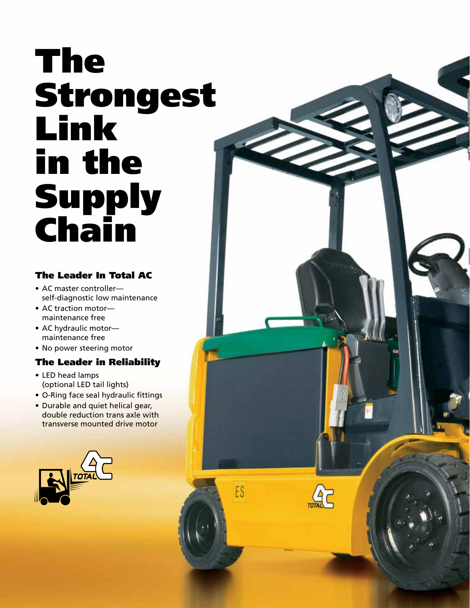# The Strongest Link in the Supply Chain

## The Leader In Total AC

- AC master controller self-diagnostic low maintenance
- AC traction motor maintenance free
- AC hydraulic motor maintenance free
- No power steering motor

### The Leader in Reliability

- LED head lamps (optional LED tail lights)
- O-Ring face seal hydraulic fittings
- Durable and quiet helical gear, double reduction trans axle with transverse mounted drive motor

ES

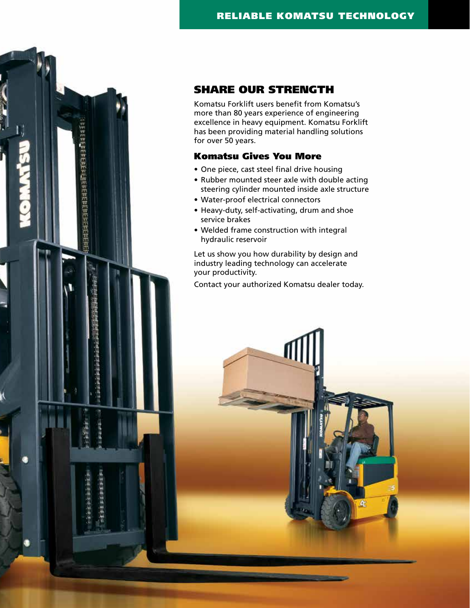

### SHARE OUR STRENGTH

Komatsu Forklift users benefit from Komatsu's more than 80 years experience of engineering excellence in heavy equipment. Komatsu Forklift has been providing material handling solutions for over 50 years.

### Komatsu Gives You More

- One piece, cast steel final drive housing
- Rubber mounted steer axle with double acting steering cylinder mounted inside axle structure
- Water-proof electrical connectors
- Heavy-duty, self-activating, drum and shoe service brakes
- Welded frame construction with integral hydraulic reservoir

Let us show you how durability by design and industry leading technology can accelerate your productivity.

Contact your authorized Komatsu dealer today.